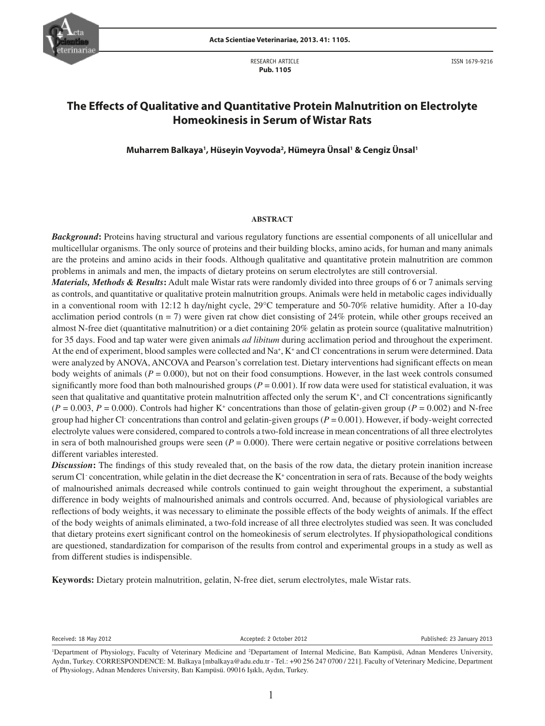

 RESEARCH ARTICLE  **Pub. 1105**

ISSN 1679-9216

# **The Effects of Qualitative and Quantitative Protein Malnutrition on Electrolyte Homeokinesis in Serum of Wistar Rats**

**Muharrem Balkaya1 , Hüseyin Voyvoda2 , Hümeyra Ünsal1 & Cengiz Ünsal1**

# **ABSTRACT**

*Background***:** Proteins having structural and various regulatory functions are essential components of all unicellular and multicellular organisms. The only source of proteins and their building blocks, amino acids, for human and many animals are the proteins and amino acids in their foods. Although qualitative and quantitative protein malnutrition are common problems in animals and men, the impacts of dietary proteins on serum electrolytes are still controversial.

*Materials, Methods & Results***:** Adult male Wistar rats were randomly divided into three groups of 6 or 7 animals serving as controls, and quantitative or qualitative protein malnutrition groups. Animals were held in metabolic cages individually in a conventional room with 12:12 h day/night cycle, 29°C temperature and 50-70% relative humidity. After a 10-day acclimation period controls ( $n = 7$ ) were given rat chow diet consisting of 24% protein, while other groups received an almost N-free diet (quantitative malnutrition) or a diet containing 20% gelatin as protein source (qualitative malnutrition) for 35 days. Food and tap water were given animals *ad libitum* during acclimation period and throughout the experiment. At the end of experiment, blood samples were collected and Na<sup>+</sup>, K<sup>+</sup> and Cl concentrations in serum were determined. Data were analyzed by ANOVA, ANCOVA and Pearson's correlation test. Dietary interventions had significant effects on mean body weights of animals ( $P = 0.000$ ), but not on their food consumptions. However, in the last week controls consumed significantly more food than both malnourished groups ( $P = 0.001$ ). If row data were used for statistical evaluation, it was seen that qualitative and quantitative protein malnutrition affected only the serum K<sup>+</sup>, and Cl concentrations significantly  $(P = 0.003, P = 0.000)$ . Controls had higher K<sup>+</sup> concentrations than those of gelatin-given group ( $P = 0.002$ ) and N-free group had higher Cl<sup>-</sup> concentrations than control and gelatin-given groups  $(P = 0.001)$ . However, if body-weight corrected electrolyte values were considered, compared to controls a two-fold increase in mean concentrations of all three electrolytes in sera of both malnourished groups were seen  $(P = 0.000)$ . There were certain negative or positive correlations between different variables interested.

**Discussion:** The findings of this study revealed that, on the basis of the row data, the dietary protein inanition increase serum Cl concentration, while gelatin in the diet decrease the K<sup>+</sup> concentration in sera of rats. Because of the body weights of malnourished animals decreased while controls continued to gain weight throughout the experiment, a substantial difference in body weights of malnourished animals and controls occurred. And, because of physiological variables are refl ections of body weights, it was necessary to eliminate the possible effects of the body weights of animals. If the effect of the body weights of animals eliminated, a two-fold increase of all three electrolytes studied was seen. It was concluded that dietary proteins exert significant control on the homeokinesis of serum electrolytes. If physiopathological conditions are questioned, standardization for comparison of the results from control and experimental groups in a study as well as from different studies is indispensible.

**Keywords:** Dietary protein malnutrition, gelatin, N-free diet, serum electrolytes, male Wistar rats.

Received: 18 May 2012 **Accepted: 2 October 2012** Accepted: 2 October 2012 **Published: 23 January 2013** 

<sup>&</sup>lt;sup>1</sup>Department of Physiology, Faculty of Veterinary Medicine and <sup>2</sup>Departament of Internal Medicine, Batı Kampüsü, Adnan Menderes University, Aydın, Turkey. CORRESPONDENCE: M. Balkaya [mbalkaya@adu.edu.tr - Tel.: +90 256 247 0700 / 221]. Faculty of Veterinary Medicine, Department of Physiology, Adnan Menderes University, Batı Kampüsü. 09016 Işıklı, Aydın, Turkey.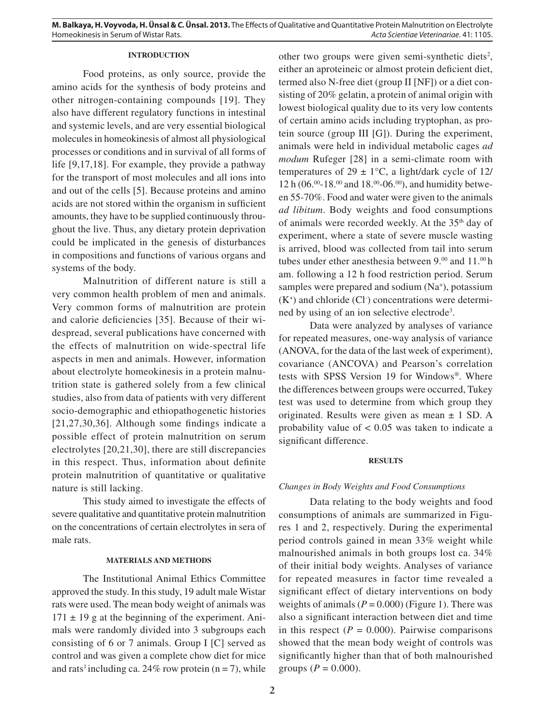# **INTRODUCTION**

Food proteins, as only source, provide the amino acids for the synthesis of body proteins and other nitrogen-containing compounds [19]. They also have different regulatory functions in intestinal and systemic levels, and are very essential biological molecules in homeokinesis of almost all physiological processes or conditions and in survival of all forms of life [9,17,18]. For example, they provide a pathway for the transport of most molecules and all ions into and out of the cells [5]. Because proteins and amino acids are not stored within the organism in sufficient amounts, they have to be supplied continuously throughout the live. Thus, any dietary protein deprivation could be implicated in the genesis of disturbances in compositions and functions of various organs and systems of the body.

Malnutrition of different nature is still a very common health problem of men and animals. Very common forms of malnutrition are protein and calorie deficiencies [35]. Because of their widespread, several publications have concerned with the effects of malnutrition on wide-spectral life aspects in men and animals. However, information about electrolyte homeokinesis in a protein malnutrition state is gathered solely from a few clinical studies, also from data of patients with very different socio-demographic and ethiopathogenetic histories  $[21,27,30,36]$ . Although some findings indicate a possible effect of protein malnutrition on serum electrolytes [20,21,30], there are still discrepancies in this respect. Thus, information about definite protein malnutrition of quantitative or qualitative nature is still lacking.

This study aimed to investigate the effects of severe qualitative and quantitative protein malnutrition on the concentrations of certain electrolytes in sera of male rats.

#### **MATERIALS AND METHODS**

The Institutional Animal Ethics Committee approved the study. In this study, 19 adult male Wistar rats were used. The mean body weight of animals was  $171 \pm 19$  g at the beginning of the experiment. Animals were randomly divided into 3 subgroups each consisting of 6 or 7 animals. Group I [C] served as control and was given a complete chow diet for mice and rats<sup>1</sup> including ca. 24% row protein ( $n = 7$ ), while

other two groups were given semi-synthetic diets<sup>2</sup>, either an aproteineic or almost protein deficient diet, termed also N-free diet (group II [NF]) or a diet consisting of 20% gelatin, a protein of animal origin with lowest biological quality due to its very low contents of certain amino acids including tryptophan, as protein source (group III [G]). During the experiment, animals were held in individual metabolic cages *ad modum* Rufeger [28] in a semi-climate room with temperatures of  $29 \pm 1$ °C, a light/dark cycle of 12/ 12 h (06. $00-18.00$  and 18. $00-06.00$ ), and humidity between 55-70%. Food and water were given to the animals *ad libitum*. Body weights and food consumptions of animals were recorded weekly. At the 35<sup>th</sup> day of experiment, where a state of severe muscle wasting is arrived, blood was collected from tail into serum tubes under ether anesthesia between 9.<sup>00</sup> and 11.<sup>00</sup> h am. following a 12 h food restriction period. Serum samples were prepared and sodium  $(Na<sup>+</sup>)$ , potassium  $(K^+)$  and chloride  $(Cl^-)$  concentrations were determined by using of an ion selective electrode<sup>3</sup>.

Data were analyzed by analyses of variance for repeated measures, one-way analysis of variance (ANOVA, for the data of the last week of experiment), covariance (ANCOVA) and Pearson's correlation tests with SPSS Version 19 for Windows®. Where the differences between groups were occurred, Tukey test was used to determine from which group they originated. Results were given as mean  $\pm$  1 SD. A probability value of  $< 0.05$  was taken to indicate a significant difference.

# **RESULTS**

#### *Changes in Body Weights and Food Consumptions*

Data relating to the body weights and food consumptions of animals are summarized in Figures 1 and 2, respectively. During the experimental period controls gained in mean 33% weight while malnourished animals in both groups lost ca. 34% of their initial body weights. Analyses of variance for repeated measures in factor time revealed a significant effect of dietary interventions on body weights of animals  $(P = 0.000)$  (Figure 1). There was also a significant interaction between diet and time in this respect ( $P = 0.000$ ). Pairwise comparisons showed that the mean body weight of controls was significantly higher than that of both malnourished groups ( $P = 0.000$ ).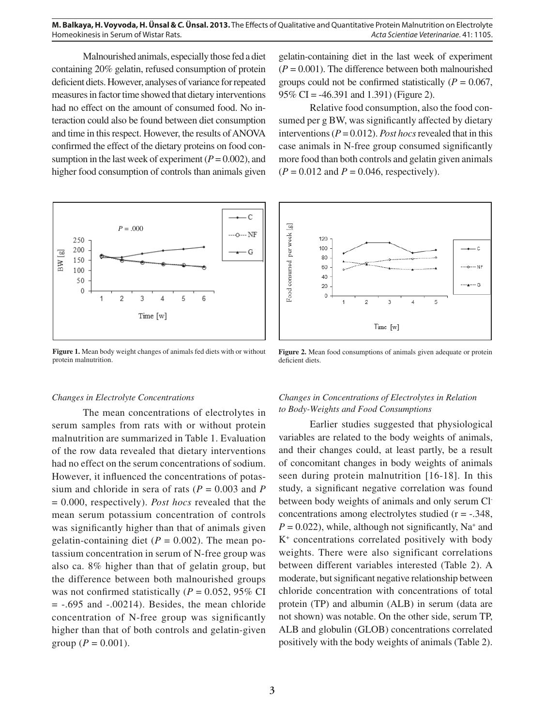Malnourished animals, especially those fed a diet containing 20% gelatin, refused consumption of protein deficient diets. However, analyses of variance for repeated measures in factor time showed that dietary interventions had no effect on the amount of consumed food. No interaction could also be found between diet consumption and time in this respect. However, the results of ANOVA confirmed the effect of the dietary proteins on food consumption in the last week of experiment  $(P = 0.002)$ , and higher food consumption of controls than animals given



**Figure 1.** Mean body weight changes of animals fed diets with or without protein malnutrition.

# *Changes in Electrolyte Concentrations*

The mean concentrations of electrolytes in serum samples from rats with or without protein malnutrition are summarized in Table 1. Evaluation of the row data revealed that dietary interventions had no effect on the serum concentrations of sodium. However, it influenced the concentrations of potassium and chloride in sera of rats ( $P = 0.003$  and  $P$ = 0.000, respectively). *Post hocs* revealed that the mean serum potassium concentration of controls was significantly higher than that of animals given gelatin-containing diet  $(P = 0.002)$ . The mean potassium concentration in serum of N-free group was also ca. 8% higher than that of gelatin group, but the difference between both malnourished groups was not confirmed statistically ( $P = 0.052$ , 95% CI  $= -.695$  and  $-.00214$ ). Besides, the mean chloride concentration of N-free group was significantly higher than that of both controls and gelatin-given group ( $P = 0.001$ ).

gelatin-containing diet in the last week of experiment  $(P = 0.001)$ . The difference between both malnourished groups could not be confirmed statistically ( $P = 0.067$ , 95% CI = -46.391 and 1.391) (Figure 2).

Relative food consumption, also the food consumed per g BW, was significantly affected by dietary interventions ( $P = 0.012$ ). *Post hocs* revealed that in this case animals in N-free group consumed significantly more food than both controls and gelatin given animals  $(P = 0.012$  and  $P = 0.046$ , respectively).



**Figure 2.** Mean food consumptions of animals given adequate or protein deficient diets.

# *Changes in Concentrations of Electrolytes in Relation to Body-Weights and Food Consumptions*

Earlier studies suggested that physiological variables are related to the body weights of animals, and their changes could, at least partly, be a result of concomitant changes in body weights of animals seen during protein malnutrition [16-18]. In this study, a significant negative correlation was found between body weights of animals and only serum Clconcentrations among electrolytes studied  $(r = -.348, ...)$  $P = 0.022$ ), while, although not significantly, Na<sup>+</sup> and K+ concentrations correlated positively with body weights. There were also significant correlations between different variables interested (Table 2). A moderate, but significant negative relationship between chloride concentration with concentrations of total protein (TP) and albumin (ALB) in serum (data are not shown) was notable. On the other side, serum TP, ALB and globulin (GLOB) concentrations correlated positively with the body weights of animals (Table 2).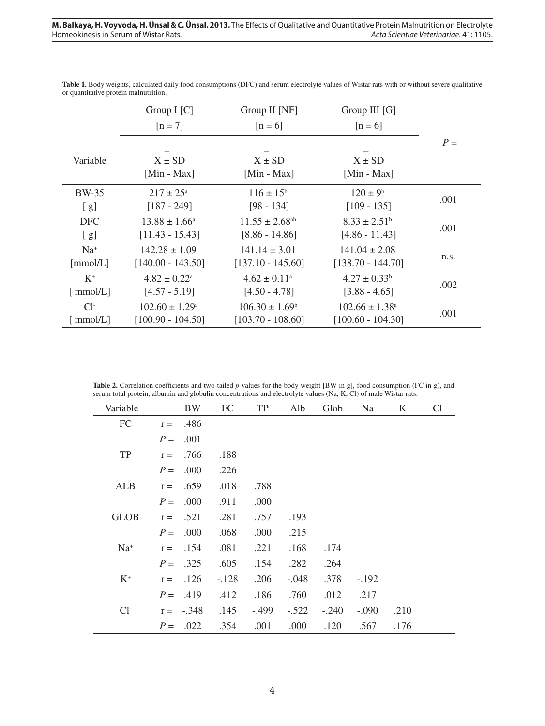|              | Group $I[C]$               | Group II [NF]                  | Group III [G]             |       |
|--------------|----------------------------|--------------------------------|---------------------------|-------|
|              | $[n = 7]$                  | $[n=6]$                        | $[n=6]$                   |       |
|              |                            |                                |                           | $P =$ |
| Variable     | $X \pm SD$                 | $X \pm SD$                     | $X \pm SD$                |       |
|              | [Min - Max]                | [Min - Max]                    | [Min - Max]               |       |
| <b>BW-35</b> | $217 \pm 25^{\circ}$       | $116 \pm 15^{\rm b}$           | $120 \pm 9^b$             | .001  |
| [g]          | $[187 - 249]$              | $[98 - 134]$                   | $[109 - 135]$             |       |
| <b>DFC</b>   | $13.88 \pm 1.66^{\circ}$   | $11.55 \pm 2.68$ <sup>ab</sup> | $8.33 \pm 2.51^b$         | .001  |
| [g]          | $[11.43 - 15.43]$          | $[8.86 - 14.86]$               | $[4.86 - 11.43]$          |       |
| $Na+$        | $142.28 \pm 1.09$          | $141.14 \pm 3.01$              | $141.04 \pm 2.08$         |       |
| [mmol/L]     | $[140.00 - 143.50]$        | $[137.10 - 145.60]$            | $[138.70 - 144.70]$       | n.s.  |
| $K^+$        | $4.82 \pm 0.22^{\text{a}}$ | $4.62 \pm 0.11$ <sup>a</sup>   | $4.27 \pm 0.33^b$         | .002  |
| [mmol/L]     | $[4.57 - 5.19]$            | $[4.50 - 4.78]$                | $[3.88 - 4.65]$           |       |
| $Cl-$        | $102.60 \pm 1.29^{\circ}$  | $106.30 \pm 1.69^{\circ}$      | $102.66 \pm 1.38^{\circ}$ | .001  |
| [ $mmol/L$ ] | $[100.90 - 104.50]$        | $[103.70 - 108.60]$            | $[100.60 - 104.30]$       |       |

Table 1. Body weights, calculated daily food consumptions (DFC) and serum electrolyte values of Wistar rats with or without severe qualitative or quantitative protein malnutrition.

Table 2. Correlation coefficients and two-tailed *p*-values for the body weight [BW in g], food consumption (FC in g), and serum total protein, albumin and globulin concentrations and electrolyte values (Na, K, Cl) of male Wistar rats.

 $\overline{a}$ 

| Variable    | <b>BW</b>        | FC      | TP      | Alb     | Glob    | Na      | K    | Cl |
|-------------|------------------|---------|---------|---------|---------|---------|------|----|
| FC          | .486<br>$r =$    |         |         |         |         |         |      |    |
|             | .001<br>$P =$    |         |         |         |         |         |      |    |
| TP          | .766<br>$r =$    | .188    |         |         |         |         |      |    |
|             | .000<br>$P =$    | .226    |         |         |         |         |      |    |
| <b>ALB</b>  | .659<br>$r =$    | .018    | .788    |         |         |         |      |    |
|             | .000<br>$P =$    | .911    | .000    |         |         |         |      |    |
| <b>GLOB</b> | .521<br>$r =$    | .281    | .757    | .193    |         |         |      |    |
|             | .000<br>$P =$    | .068    | .000    | .215    |         |         |      |    |
| $Na+$       | .154<br>$r =$    | .081    | .221    | .168    | .174    |         |      |    |
|             | .325<br>$P =$    | .605    | .154    | .282    | .264    |         |      |    |
| $K^+$       | .126<br>$r =$    | $-.128$ | .206    | $-.048$ | .378    | $-.192$ |      |    |
|             | $P =$<br>.419    | .412    | .186    | .760    | .012    | .217    |      |    |
| $Cl-$       | $-.348$<br>$r =$ | .145    | $-.499$ | $-.522$ | $-.240$ | $-.090$ | .210 |    |
|             | .022<br>$P =$    | .354    | .001    | .000    | .120    | .567    | .176 |    |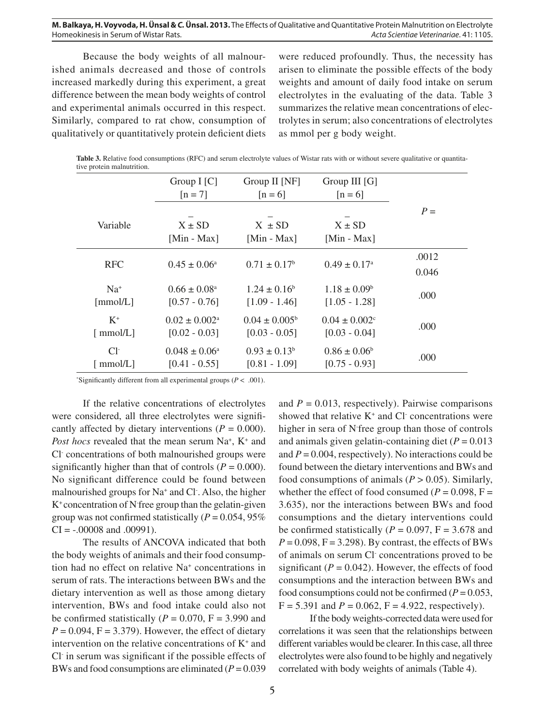Because the body weights of all malnourished animals decreased and those of controls increased markedly during this experiment, a great difference between the mean body weights of control and experimental animals occurred in this respect. Similarly, compared to rat chow, consumption of qualitatively or quantitatively protein deficient diets

were reduced profoundly. Thus, the necessity has arisen to eliminate the possible effects of the body weights and amount of daily food intake on serum electrolytes in the evaluating of the data. Table 3 summarizes the relative mean concentrations of electrolytes in serum; also concentrations of electrolytes as mmol per g body weight.

| Table 3. Relative food consumptions (RFC) and serum electrolyte values of Wistar rats with or without severe qualitative or quantita- |  |
|---------------------------------------------------------------------------------------------------------------------------------------|--|
| tive protein malnutrition.                                                                                                            |  |

|                                        | Group $I[C]$<br>$[n = 7]$                      | Group II [NF]<br>$[n=6]$                    | Group III $[G]$<br>$[n=6]$                       |       |
|----------------------------------------|------------------------------------------------|---------------------------------------------|--------------------------------------------------|-------|
| Variable                               | $X \pm SD$<br>[Min - Max]                      | $X \pm SD$<br>[Min - Max]                   | $X \pm SD$<br>[Min - Max]                        | $P =$ |
| <b>RFC</b>                             | $0.45 \pm 0.06^{\circ}$                        | $0.71 \pm 0.17^b$                           | $0.49 \pm 0.17^{\circ}$                          | .0012 |
|                                        |                                                |                                             | 0.046                                            |       |
| $Na+$<br>[mmol/L]                      | $0.66 \pm 0.08^{\circ}$<br>$[0.57 - 0.76]$     | $1.24 + 0.16^b$<br>$[1.09 - 1.46]$          | $1.18 \pm 0.09^b$<br>$[1.05 - 1.28]$             | .000  |
| $K^+$<br>$\lceil \text{mmol/L} \rceil$ | $0.02 \pm 0.002^{\text{a}}$<br>$[0.02 - 0.03]$ | $0.04 \pm 0.005^{\circ}$<br>$[0.03 - 0.05]$ | $0.04 \pm 0.002$ <sup>c</sup><br>$[0.03 - 0.04]$ | .000  |
| $Cl^{\mathsf{-}}$<br>[ mmol/L]         | $0.048 \pm 0.06^{\circ}$<br>$[0.41 - 0.55]$    | $0.93 \pm 0.13^b$<br>$[0.81 - 1.09]$        | $0.86 \pm 0.06^b$<br>$[0.75 - 0.93]$             | .000  |

\*Significantly different from all experimental groups ( $P < .001$ ).

If the relative concentrations of electrolytes were considered, all three electrolytes were significantly affected by dietary interventions  $(P = 0.000)$ . Post hocs revealed that the mean serum Na<sup>+</sup>, K<sup>+</sup> and Cl- concentrations of both malnourished groups were significantly higher than that of controls  $(P = 0.000)$ . No significant difference could be found between malnourished groups for Na<sup>+</sup> and Cl<sup>-</sup>. Also, the higher K+ concentration of N-free group than the gelatin-given group was not confirmed statistically  $(P = 0.054, 95\%)$  $CI = -.00008$  and  $.00991$ ).

The results of ANCOVA indicated that both the body weights of animals and their food consumption had no effect on relative Na+ concentrations in serum of rats. The interactions between BWs and the dietary intervention as well as those among dietary intervention, BWs and food intake could also not be confirmed statistically ( $P = 0.070$ ,  $F = 3.990$  and  $P = 0.094$ ,  $F = 3.379$ ). However, the effect of dietary intervention on the relative concentrations of  $K^+$  and Cl in serum was significant if the possible effects of BWs and food consumptions are eliminated  $(P = 0.039)$ 

and  $P = 0.013$ , respectively). Pairwise comparisons showed that relative  $K^+$  and Cl concentrations were higher in sera of N-free group than those of controls and animals given gelatin-containing diet  $(P = 0.013)$ and  $P = 0.004$ , respectively). No interactions could be found between the dietary interventions and BWs and food consumptions of animals  $(P > 0.05)$ . Similarly, whether the effect of food consumed ( $P = 0.098$ ,  $F =$ 3.635), nor the interactions between BWs and food consumptions and the dietary interventions could be confirmed statistically ( $P = 0.097$ ,  $F = 3.678$  and  $P = 0.098$ ,  $F = 3.298$ . By contrast, the effects of BWs of animals on serum Cl- concentrations proved to be significant ( $P = 0.042$ ). However, the effects of food consumptions and the interaction between BWs and food consumptions could not be confirmed ( $P = 0.053$ ,  $F = 5.391$  and  $P = 0.062$ ,  $F = 4.922$ , respectively).

If the body weights-corrected data were used for correlations it was seen that the relationships between different variables would be clearer. In this case, all three electrolytes were also found to be highly and negatively correlated with body weights of animals (Table 4).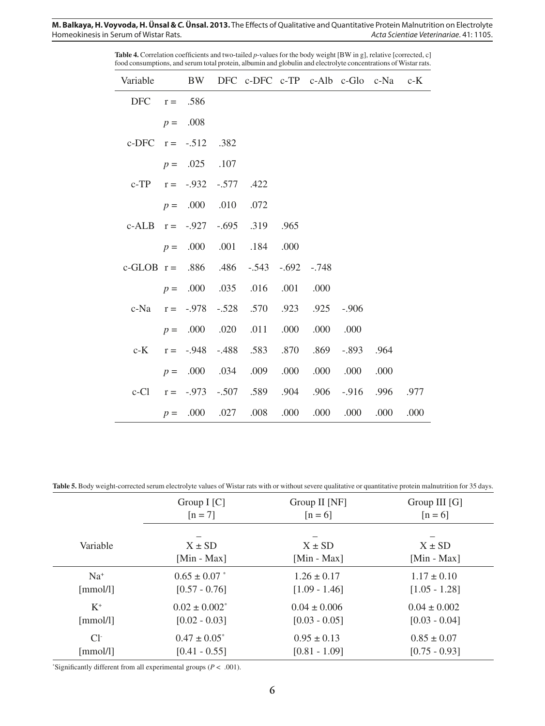| Variable                     |       |                 |         | BW DFC c-DFC c-TP c-Alb c-Glo c-Na |       |         |         |      | $c-K$ |
|------------------------------|-------|-----------------|---------|------------------------------------|-------|---------|---------|------|-------|
| $DFC \t r =$                 |       | .586            |         |                                    |       |         |         |      |       |
|                              |       | $p = .008$      |         |                                    |       |         |         |      |       |
| c-DFC $r = -.512$            |       |                 | .382    |                                    |       |         |         |      |       |
|                              |       | $p = .025$ .107 |         |                                    |       |         |         |      |       |
| c-TP $r = -.932 - .577$ .422 |       |                 |         |                                    |       |         |         |      |       |
|                              |       | $p = .000$ .010 |         | .072                               |       |         |         |      |       |
| c-ALB $r = -.927-.695.319$   |       |                 |         |                                    | .965  |         |         |      |       |
|                              |       |                 |         | $p = 0.000 0.001 0.184 0.000$      |       |         |         |      |       |
| c-GLOB $r = .886$ .486 -.543 |       |                 |         |                                    | -.692 | $-.748$ |         |      |       |
|                              |       |                 |         | $p = 0.000$ .035 .016              | .001  | .000    |         |      |       |
| c-Na                         | $r =$ | $-.978$         |         | $-.528$ $.570$ $.923$              |       | .925    | $-.906$ |      |       |
|                              |       |                 |         | $p = 0.000 0.020 0.011$            | .000  | .000    | .000    |      |       |
| $c-K$                        | $r =$ | $-.948$         | $-.488$ | .583                               | .870  | .869    | $-.893$ | .964 |       |
|                              |       |                 |         | $p = 0.000$ .034 .009              | .000  | .000    | .000    | .000 |       |
| $c$ -Cl                      |       | $r = -0.973$    |         | -.507 .589 .904                    |       | .906    | $-.916$ | .996 | .977  |
|                              | $p =$ |                 |         | .000 .027 .008                     | .000  | .000    | .000    | .000 | .000  |

Table 4. Correlation coefficients and two-tailed *p*-values for the body weight [BW in g], relative [corrected, c] food consumptions, and serum total protein, albumin and globulin and electrolyte concentrations of Wistar rats.

Table 5. Body weight-corrected serum electrolyte values of Wistar rats with or without severe qualitative or quantitative protein malnutrition for 35 days.

|                               | Group $I[C]$       | Group II [NF]    | Group III $[G]$  |
|-------------------------------|--------------------|------------------|------------------|
|                               | $[n = 7]$          | $[n=6]$          | $[n=6]$          |
| Variable                      | $X \pm SD$         | $X \pm SD$       | $X \pm SD$       |
|                               | [Min - Max]        | [Min - Max]      | [Min - Max]      |
| $Na+$                         | $0.65 \pm 0.07$ *  | $1.26 \pm 0.17$  | $1.17 \pm 0.10$  |
| [mmol/l]                      | $[0.57 - 0.76]$    | $[1.09 - 1.46]$  | $[1.05 - 1.28]$  |
| $K^+$                         | $0.02 \pm 0.002^*$ | $0.04 \pm 0.006$ | $0.04 \pm 0.002$ |
| $\lceil \text{mmol/l} \rceil$ | $[0.02 - 0.03]$    | $[0.03 - 0.05]$  | $[0.03 - 0.04]$  |
| $Cl^{\mathcal{L}}$            | $0.47 \pm 0.05^*$  | $0.95 \pm 0.13$  | $0.85 \pm 0.07$  |
| $\lceil \text{mmol/l} \rceil$ | $[0.41 - 0.55]$    | $[0.81 - 1.09]$  | $[0.75 - 0.93]$  |

\*Significantly different from all experimental groups ( $P < .001$ ).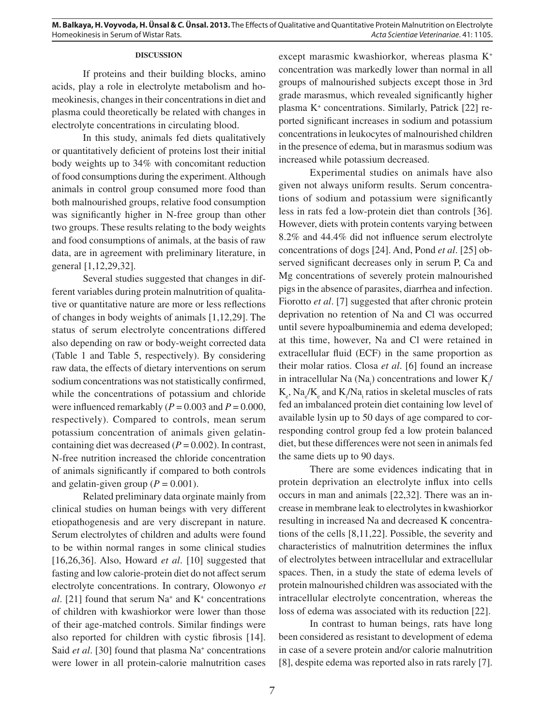# **DISCUSSION**

If proteins and their building blocks, amino acids, play a role in electrolyte metabolism and homeokinesis, changes in their concentrations in diet and plasma could theoretically be related with changes in electrolyte concentrations in circulating blood.

In this study, animals fed diets qualitatively or quantitatively deficient of proteins lost their initial body weights up to 34% with concomitant reduction of food consumptions during the experiment. Although animals in control group consumed more food than both malnourished groups, relative food consumption was significantly higher in N-free group than other two groups. These results relating to the body weights and food consumptions of animals, at the basis of raw data, are in agreement with preliminary literature, in general [1,12,29,32].

Several studies suggested that changes in different variables during protein malnutrition of qualitative or quantitative nature are more or less reflections of changes in body weights of animals [1,12,29]. The status of serum electrolyte concentrations differed also depending on raw or body-weight corrected data (Table 1 and Table 5, respectively). By considering raw data, the effects of dietary interventions on serum sodium concentrations was not statistically confirmed, while the concentrations of potassium and chloride were influenced remarkably  $(P = 0.003$  and  $P = 0.000$ , respectively). Compared to controls, mean serum potassium concentration of animals given gelatincontaining diet was decreased  $(P = 0.002)$ . In contrast, N-free nutrition increased the chloride concentration of animals significantly if compared to both controls and gelatin-given group  $(P = 0.001)$ .

Related preliminary data orginate mainly from clinical studies on human beings with very different etiopathogenesis and are very discrepant in nature. Serum electrolytes of children and adults were found to be within normal ranges in some clinical studies [16,26,36]. Also, Howard *et al*. [10] suggested that fasting and low calorie-protein diet do not affect serum electrolyte concentrations. In contrary, Olowonyo *et*   $al.$  [21] found that serum  $Na<sup>+</sup>$  and  $K<sup>+</sup>$  concentrations of children with kwashiorkor were lower than those of their age-matched controls. Similar findings were also reported for children with cystic fibrosis [14]. Said *et al.* [30] found that plasma Na<sup>+</sup> concentrations were lower in all protein-calorie malnutrition cases

except marasmic kwashiorkor, whereas plasma K+ concentration was markedly lower than normal in all groups of malnourished subjects except those in 3rd grade marasmus, which revealed significantly higher plasma K+ concentrations. Similarly, Patrick [22] reported significant increases in sodium and potassium concentrations in leukocytes of malnourished children in the presence of edema, but in marasmus sodium was increased while potassium decreased.

Experimental studies on animals have also given not always uniform results. Serum concentrations of sodium and potassium were significantly less in rats fed a low-protein diet than controls [36]. However, diets with protein contents varying between 8.2% and 44.4% did not influence serum electrolyte concentrations of dogs [24]. And, Pond *et al*. [25] observed significant decreases only in serum P, Ca and Mg concentrations of severely protein malnourished pigs in the absence of parasites, diarrhea and infection. Fiorotto *et al.* [7] suggested that after chronic protein deprivation no retention of Na and Cl was occurred until severe hypoalbuminemia and edema developed; at this time, however, Na and Cl were retained in extracellular fluid (ECF) in the same proportion as their molar ratios. Closa *et al*. [6] found an increase in intracellular Na  $(Na<sub>i</sub>)$  concentrations and lower  $K<sub>i</sub>$  $K_e$ ,  $\text{Na}_e/\text{K}_e$  and  $\text{K}_i/\text{Na}_i$  ratios in skeletal muscles of rats fed an imbalanced protein diet containing low level of available lysin up to 50 days of age compared to corresponding control group fed a low protein balanced diet, but these differences were not seen in animals fed the same diets up to 90 days.

There are some evidences indicating that in protein deprivation an electrolyte influx into cells occurs in man and animals [22,32]. There was an increase in membrane leak to electrolytes in kwashiorkor resulting in increased Na and decreased K concentrations of the cells [8,11,22]. Possible, the severity and characteristics of malnutrition determines the influx of electrolytes between intracellular and extracellular spaces. Then, in a study the state of edema levels of protein malnourished children was associated with the intracellular electrolyte concentration, whereas the loss of edema was associated with its reduction [22].

In contrast to human beings, rats have long been considered as resistant to development of edema in case of a severe protein and/or calorie malnutrition [8], despite edema was reported also in rats rarely [7].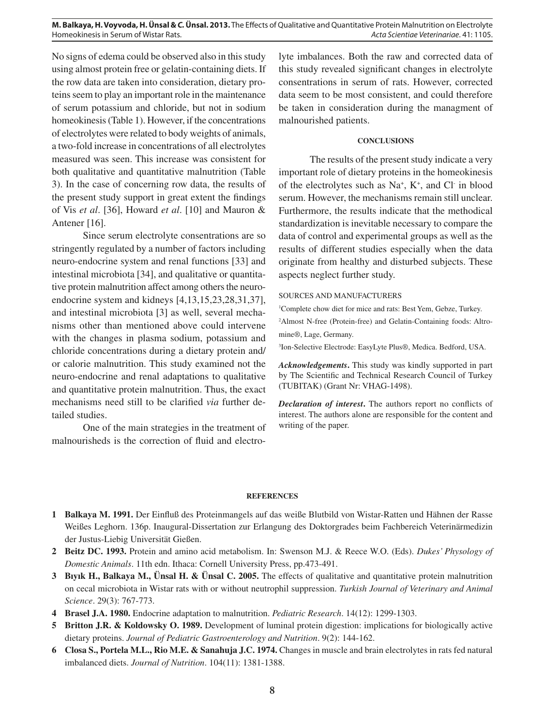**M. Balkaya, H. Voyvoda, H. Ünsal & C. Ünsal. 2013.** The Effects of Qualitative and Quantitative Protein Malnutrition on Electrolyte **Homeokinesis in Serum of Wistar Rats.** Actores and Duantitative and Quantitative Protein Acta Scientiae Veterinariae. 41: 1105.

No signs of edema could be observed also in this study using almost protein free or gelatin-containing diets. If the row data are taken into consideration, dietary proteins seem to play an important role in the maintenance of serum potassium and chloride, but not in sodium homeokinesis (Table 1). However, if the concentrations of electrolytes were related to body weights of animals, a two-fold increase in concentrations of all electrolytes measured was seen. This increase was consistent for both qualitative and quantitative malnutrition (Table 3). In the case of concerning row data, the results of the present study support in great extent the findings of Vis *et al*. [36], Howard *et al*. [10] and Mauron & Antener [16].

Since serum electrolyte consentrations are so stringently regulated by a number of factors including neuro-endocrine system and renal functions [33] and intestinal microbiota [34], and qualitative or quantitative protein malnutrition affect among others the neuroendocrine system and kidneys [4,13,15,23,28,31,37], and intestinal microbiota [3] as well, several mechanisms other than mentioned above could intervene with the changes in plasma sodium, potassium and chloride concentrations during a dietary protein and/ or calorie malnutrition. This study examined not the neuro-endocrine and renal adaptations to qualitative and quantitative protein malnutrition. Thus, the exact mechanisms need still to be clarified *via* further detailed studies.

One of the main strategies in the treatment of malnourisheds is the correction of fluid and electrolyte imbalances. Both the raw and corrected data of this study revealed significant changes in electrolyte consentrations in serum of rats. However, corrected data seem to be most consistent, and could therefore be taken in consideration during the managment of malnourished patients.

# **CONCLUSIONS**

The results of the present study indicate a very important role of dietary proteins in the homeokinesis of the electrolytes such as  $Na^+$ ,  $K^+$ , and Cl in blood serum. However, the mechanisms remain still unclear. Furthermore, the results indicate that the methodical standardization is inevitable necessary to compare the data of control and experimental groups as well as the results of different studies especially when the data originate from healthy and disturbed subjects. These aspects neglect further study.

#### SOURCES AND MANUFACTURERS

1 Complete chow diet for mice and rats: Best Yem, Gebze, Turkey. 2 Almost N-free (Protein-free) and Gelatin-Containing foods: Altromine®, Lage, Germany.

3 Ion-Selective Electrode: EasyLyte Plus®, Medica. Bedford, USA.

*Acknowledgements***.** This study was kindly supported in part by The Scientific and Technical Research Council of Turkey (TUBITAK) (Grant Nr: VHAG-1498).

*Declaration of interest*. The authors report no conflicts of interest. The authors alone are responsible for the content and writing of the paper.

#### **REFERENCES**

- 1 Balkaya M. 1991. Der Einfluß des Proteinmangels auf das weiße Blutbild von Wistar-Ratten und Hähnen der Rasse Weißes Leghorn. 136p. Inaugural-Dissertation zur Erlangung des Doktorgrades beim Fachbereich Veterinärmedizin der Justus-Liebig Universität Gießen.
- **2 Beitz DC. 1993.** Protein and amino acid metabolism. In: Swenson M.J. & Reece W.O. (Eds). *Dukes' Physology of Domestic Animals*. 11th edn. Ithaca: Cornell University Press, pp.473-491.
- **3 Bıyık H., Balkaya M., Ünsal H. & Ünsal C. 2005.** The effects of qualitative and quantitative protein malnutrition on cecal microbiota in Wistar rats with or without neutrophil suppression. *Turkish Journal of Veterinary and Animal Science*. 29(3): 767-773.
- **4 Brasel J.A. 1980.** Endocrine adaptation to malnutrition. *Pediatric Research*. 14(12): 1299-1303.
- **5 Britton J.R. & Koldowsky O. 1989.** Development of luminal protein digestion: implications for biologically active dietary proteins. *Journal of Pediatric Gastroenterology and Nutrition*. 9(2): 144-162.
- **6 Closa S., Portela M.L., Rio M.E. & Sanahuja J.C. 1974.** Changes in muscle and brain electrolytes in rats fed natural imbalanced diets. *Journal of Nutrition*. 104(11): 1381-1388.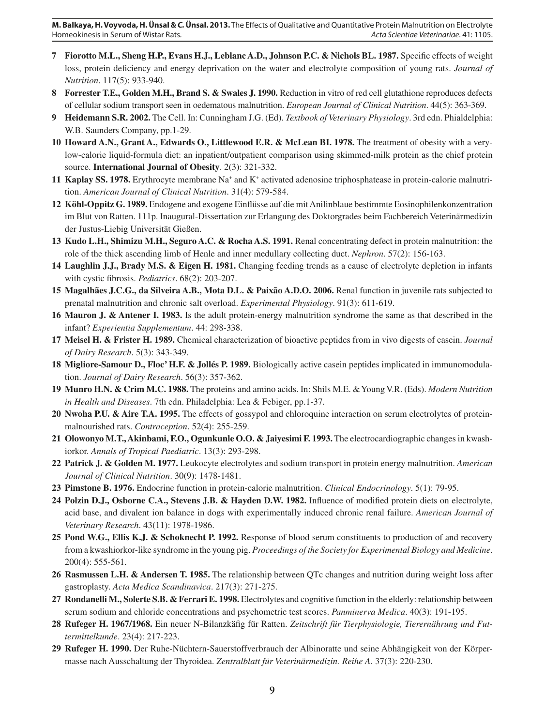**M. Balkaya, H. Voyvoda, H. Ünsal & C. Ünsal. 2013.** The Effects of Qualitative and Quantitative Protein Malnutrition on Electrolyte Homeokinesis in Serum of Wistar Rats. Acta Scientiae Veterinariae. 41: 1105.

- **7 Fiorotto M.L., Sheng H.P., Evans H.J., Leblanc A.D., Johnson P.C. & Nichols BL. 1987.** Specific effects of weight loss, protein deficiency and energy deprivation on the water and electrolyte composition of young rats. *Journal of Nutrition*. 117(5): 933-940.
- **8 Forrester T.E., Golden M.H., Brand S. & Swales J. 1990.** Reduction in vitro of red cell glutathione reproduces defects of cellular sodium transport seen in oedematous malnutrition. *European Journal of Clinical Nutrition*. 44(5): 363-369.
- **9 Heidemann S.R. 2002.** The Cell. In: Cunningham J.G. (Ed). *Textbook of Veterinary Physiology*. 3rd edn. Phialdelphia: W.B. Saunders Company, pp.1-29.
- **10 Howard A.N., Grant A., Edwards O., Littlewood E.R. & McLean BI. 1978.** The treatment of obesity with a verylow-calorie liquid-formula diet: an inpatient/outpatient comparison using skimmed-milk protein as the chief protein source. **International Journal of Obesity**. 2(3): 321-332.
- 11 Kaplay SS. 1978. Erythrocyte membrane Na<sup>+</sup> and K<sup>+</sup> activated adenosine triphosphatease in protein-calorie malnutrition. *American Journal of Clinical Nutrition*. 31(4): 579-584.
- 12 Köhl-Oppitz G. 1989. Endogene and exogene Einflüsse auf die mit Anilinblaue bestimmte Eosinophilenkonzentration im Blut von Ratten. 111p. Inaugural-Dissertation zur Erlangung des Doktorgrades beim Fachbereich Veterinärmedizin der Justus-Liebig Universität Gießen.
- **13 Kudo L.H., Shimizu M.H., Seguro A.C. & Rocha A.S. 1991.** Renal concentrating defect in protein malnutrition: the role of the thick ascending limb of Henle and inner medullary collecting duct. *Nephron*. 57(2): 156-163.
- **14 Laughlin J.J., Brady M.S. & Eigen H. 1981.** Changing feeding trends as a cause of electrolyte depletion in infants with cystic fibrosis. *Pediatrics*. 68(2): 203-207.
- **15 Magalhães J.C.G., da Silveira A.B., Mota D.L. & Paixão A.D.O. 2006.** Renal function in juvenile rats subjected to prenatal malnutrition and chronic salt overload. *Experimental Physiology*. 91(3): 611-619.
- **16 Mauron J. & Antener I. 1983.** Is the adult protein-energy malnutrition syndrome the same as that described in the infant? *Experientia Supplementum*. 44: 298-338.
- **17 Meisel H. & Frister H. 1989.** Chemical characterization of bioactive peptides from in vivo digests of casein. *Journal of Dairy Research*. 5(3): 343-349.
- **18 Migliore-Samour D., Floc' H.F. & Jollés P. 1989.** Biologically active casein peptides implicated in immunomodulation. *Journal of Dairy Research*. 56(3): 357-362.
- **19 Munro H.N. & Crim M.C. 1988.** The proteins and amino acids. In: Shils M.E. & Young V.R. (Eds). *Modern Nutrition in Health and Diseases*. 7th edn. Philadelphia: Lea & Febiger, pp.1-37.
- **20 Nwoha P.U. & Aire T.A. 1995.** The effects of gossypol and chloroquine interaction on serum electrolytes of proteinmalnourished rats. *Contraception*. 52(4): 255-259.
- **21 Olowonyo M.T., Akinbami, F.O., Ogunkunle O.O. & Jaiyesimi F. 1993.** The electrocardiographic changes in kwashiorkor. *Annals of Tropical Paediatric*. 13(3): 293-298.
- **22 Patrick J. & Golden M. 1977.** Leukocyte electrolytes and sodium transport in protein energy malnutrition. *American Journal of Clinical Nutrition*. 30(9): 1478-1481.
- **23 Pimstone B. 1976.** Endocrine function in protein-calorie malnutrition. *Clinical Endocrinology*. 5(1): 79-95.
- **24 Polzin D.J., Osborne C.A., Stevens J.B. & Hayden D.W. 1982.** Influence of modified protein diets on electrolyte, acid base, and divalent ion balance in dogs with experimentally induced chronic renal failure. *American Journal of Veterinary Research*. 43(11): 1978-1986.
- **25 Pond W.G., Ellis K.J. & Schoknecht P. 1992.** Response of blood serum constituents to production of and recovery from a kwashiorkor-like syndrome in the young pig. *Proceedings of the Society for Experimental Biology and Medicine*. 200(4): 555-561.
- **26 Rasmussen L.H. & Andersen T. 1985.** The relationship between QTc changes and nutrition during weight loss after gastroplasty. *Acta Medica Scandinavica*. 217(3): 271-275.
- **27 Rondanelli M., Solerte S.B. & Ferrari E. 1998.** Electrolytes and cognitive function in the elderly: relationship between serum sodium and chloride concentrations and psychometric test scores. *Panminerva Medica*. 40(3): 191-195.
- 28 Rufeger H. 1967/1968. Ein neuer N-Bilanzkäfig für Ratten. Zeitschrift für Tierphysiologie, Tierernährung und Fut*termittelkunde*. 23(4): 217-223.
- **29 Rufeger H. 1990.** Der Ruhe-Nüchtern-Sauerstoffverbrauch der Albinoratte und seine Abhängigkeit von der Körpermasse nach Ausschaltung der Thyroidea. *Zentralblatt für Veterinärmedizin. Reihe A*. 37(3): 220-230.